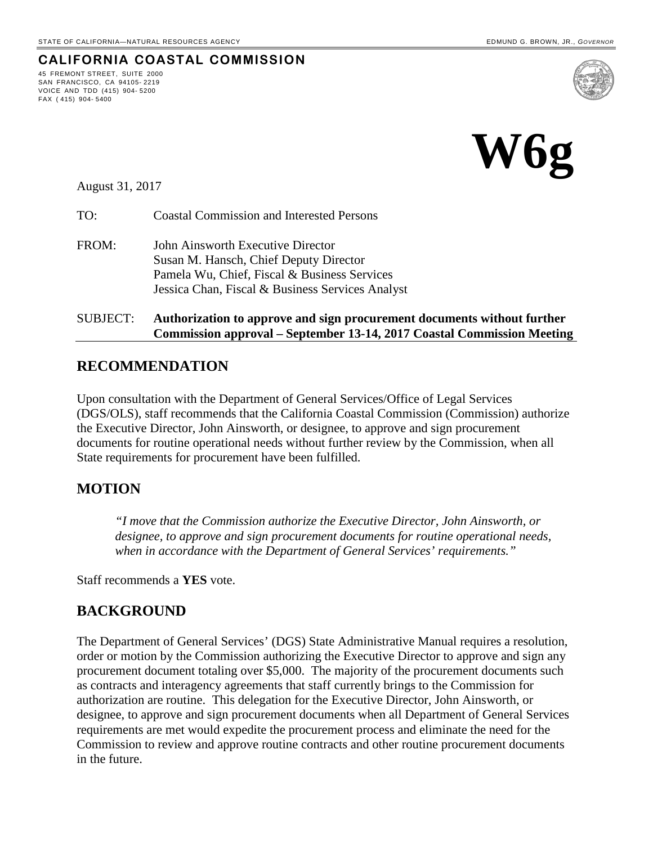**CALIFORNIA COASTAL COMMISSION**



August 31, 2017

45 FREMONT STREET, SUITE 2000 SAN FRANCISCO, CA 94105- 2219 VOICE AND TDD (415) 904- 5200

FAX ( 415) 904- 5400

TO: Coastal Commission and Interested Persons

FROM: John Ainsworth Executive Director Susan M. Hansch, Chief Deputy Director Pamela Wu, Chief, Fiscal & Business Services Jessica Chan, Fiscal & Business Services Analyst

### SUBJECT: **Authorization to approve and sign procurement documents without further Commission approval – September 13-14, 2017 Coastal Commission Meeting**

# **RECOMMENDATION**

Upon consultation with the Department of General Services/Office of Legal Services (DGS/OLS), staff recommends that the California Coastal Commission (Commission) authorize the Executive Director, John Ainsworth, or designee, to approve and sign procurement documents for routine operational needs without further review by the Commission, when all State requirements for procurement have been fulfilled.

# **MOTION**

*"I move that the Commission authorize the Executive Director, John Ainsworth, or designee, to approve and sign procurement documents for routine operational needs, when in accordance with the Department of General Services' requirements."* 

Staff recommends a **YES** vote.

# **BACKGROUND**

The Department of General Services' (DGS) State Administrative Manual requires a resolution, order or motion by the Commission authorizing the Executive Director to approve and sign any procurement document totaling over \$5,000. The majority of the procurement documents such as contracts and interagency agreements that staff currently brings to the Commission for authorization are routine. This delegation for the Executive Director, John Ainsworth, or designee, to approve and sign procurement documents when all Department of General Services requirements are met would expedite the procurement process and eliminate the need for the Commission to review and approve routine contracts and other routine procurement documents in the future.